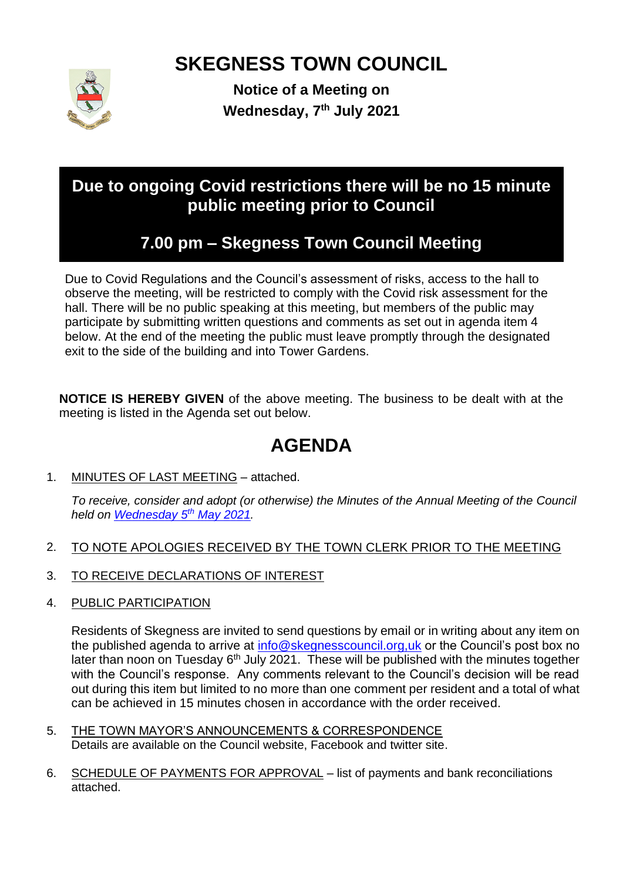# **SKEGNESS TOWN COUNCIL**



**Notice of a Meeting on Wednesday, 7 th July 2021**

# **Due to ongoing Covid restrictions there will be no 15 minute public meeting prior to Council**

# **7.00 pm – Skegness Town Council Meeting**

Due to Covid Regulations and the Council's assessment of risks, access to the hall to observe the meeting, will be restricted to comply with the Covid risk assessment for the hall. There will be no public speaking at this meeting, but members of the public may participate by submitting written questions and comments as set out in agenda item 4 below. At the end of the meeting the public must leave promptly through the designated exit to the side of the building and into Tower Gardens.

**NOTICE IS HEREBY GIVEN** of the above meeting. The business to be dealt with at the meeting is listed in the Agenda set out below.

# **AGENDA**

1. MINUTES OF LAST MEETING – attached.

*To receive, consider and adopt (or otherwise) the Minutes of the Annual Meeting of the Council held on [Wednesday 5](https://skegnesstc.sharepoint.com/sites/Admin/Shared%20Documents/Council%20Meetings/Annual%20Council%20Meetings/Meetings%20by%20Date/2021-05-05_Council%20Annual/MinsDraft%20Annual%20Council%202021-05-05.pdf) th May 2021.*

- 2. TO NOTE APOLOGIES RECEIVED BY THE TOWN CLERK PRIOR TO THE MEETING
- 3. TO RECEIVE DECLARATIONS OF INTEREST
- 4. PUBLIC PARTICIPATION

Residents of Skegness are invited to send questions by email or in writing about any item on the published agenda to arrive at [info@skegnesscouncil.org,uk](mailto:info@skegnesscouncil.org,uk) or the Council's post box no later than noon on Tuesday 6<sup>th</sup> July 2021. These will be published with the minutes together with the Council's response. Any comments relevant to the Council's decision will be read out during this item but limited to no more than one comment per resident and a total of what can be achieved in 15 minutes chosen in accordance with the order received.

- 5. THE TOWN MAYOR'S ANNOUNCEMENTS & CORRESPONDENCE Details are available on the Council website, Facebook and twitter site.
- 6. SCHEDULE OF PAYMENTS FOR APPROVAL list of payments and bank reconciliations attached.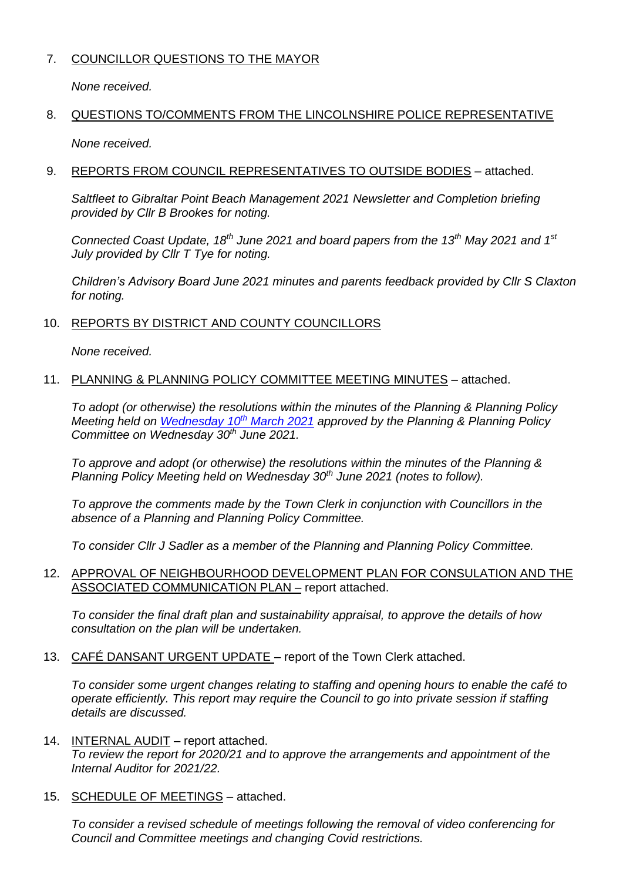# 7. COUNCILLOR QUESTIONS TO THE MAYOR

*None received.*

# 8. QUESTIONS TO/COMMENTS FROM THE LINCOLNSHIRE POLICE REPRESENTATIVE

*None received.*

## 9. REPORTS FROM COUNCIL REPRESENTATIVES TO OUTSIDE BODIES – attached.

*Saltfleet to Gibraltar Point Beach Management 2021 Newsletter and Completion briefing provided by Cllr B Brookes for noting.*

*Connected Coast Update, 18th June 2021 and board papers from the 13th May 2021 and 1st July provided by Cllr T Tye for noting.*

*Children's Advisory Board June 2021 minutes and parents feedback provided by Cllr S Claxton for noting.*

# 10. REPORTS BY DISTRICT AND COUNTY COUNCILLORS

*None received.*

# 11. PLANNING & PLANNING POLICY COMMITTEE MEETING MINUTES – attached.

*To adopt (or otherwise) the resolutions within the minutes of the Planning & Planning Policy Meeting held on [Wednesday](https://www.skegness.gov.uk/uploads/minsdraft-planning-pp-2021-03-10.pdf) 10th March 2021 approved by the Planning & Planning Policy Committee on Wednesday 30th June 2021.*

*To approve and adopt (or otherwise) the resolutions within the minutes of the Planning & Planning Policy Meeting held on Wednesday 30th June 2021 (notes to follow).*

*To approve the comments made by the Town Clerk in conjunction with Councillors in the absence of a Planning and Planning Policy Committee.*

*To consider Cllr J Sadler as a member of the Planning and Planning Policy Committee.*

### 12. APPROVAL OF NEIGHBOURHOOD DEVELOPMENT PLAN FOR CONSULATION AND THE ASSOCIATED COMMUNICATION PLAN – report attached.

*To consider the final draft plan and sustainability appraisal, to approve the details of how consultation on the plan will be undertaken.*

13. CAFÉ DANSANT URGENT UPDATE – report of the Town Clerk attached.

*To consider some urgent changes relating to staffing and opening hours to enable the café to operate efficiently. This report may require the Council to go into private session if staffing details are discussed.*

- 14. INTERNAL AUDIT report attached. *To review the report for 2020/21 and to approve the arrangements and appointment of the Internal Auditor for 2021/22.*
- 15. SCHEDULE OF MEETINGS attached.

*To consider a revised schedule of meetings following the removal of video conferencing for Council and Committee meetings and changing Covid restrictions.*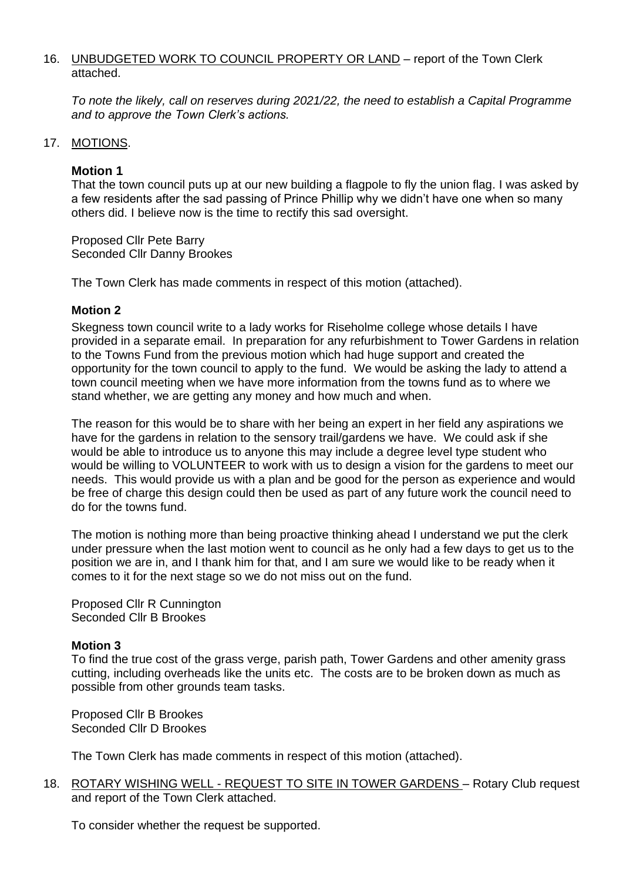#### 16. UNBUDGETED WORK TO COUNCIL PROPERTY OR LAND - report of the Town Clerk attached.

*To note the likely, call on reserves during 2021/22, the need to establish a Capital Programme and to approve the Town Clerk's actions.*

### 17. MOTIONS.

#### **Motion 1**

That the town council puts up at our new building a flagpole to fly the union flag. I was asked by a few residents after the sad passing of Prince Phillip why we didn't have one when so many others did. I believe now is the time to rectify this sad oversight.

Proposed Cllr Pete Barry Seconded Cllr Danny Brookes

The Town Clerk has made comments in respect of this motion (attached).

#### **Motion 2**

Skegness town council write to a lady works for Riseholme college whose details I have provided in a separate email. In preparation for any refurbishment to Tower Gardens in relation to the Towns Fund from the previous motion which had huge support and created the opportunity for the town council to apply to the fund. We would be asking the lady to attend a town council meeting when we have more information from the towns fund as to where we stand whether, we are getting any money and how much and when.

The reason for this would be to share with her being an expert in her field any aspirations we have for the gardens in relation to the sensory trail/gardens we have. We could ask if she would be able to introduce us to anyone this may include a degree level type student who would be willing to VOLUNTEER to work with us to design a vision for the gardens to meet our needs. This would provide us with a plan and be good for the person as experience and would be free of charge this design could then be used as part of any future work the council need to do for the towns fund.

The motion is nothing more than being proactive thinking ahead I understand we put the clerk under pressure when the last motion went to council as he only had a few days to get us to the position we are in, and I thank him for that, and I am sure we would like to be ready when it comes to it for the next stage so we do not miss out on the fund.

Proposed Cllr R Cunnington Seconded Cllr B Brookes

#### **Motion 3**

To find the true cost of the grass verge, parish path, Tower Gardens and other amenity grass cutting, including overheads like the units etc. The costs are to be broken down as much as possible from other grounds team tasks.

Proposed Cllr B Brookes Seconded Cllr D Brookes

The Town Clerk has made comments in respect of this motion (attached).

18. ROTARY WISHING WELL - REQUEST TO SITE IN TOWER GARDENS – Rotary Club request and report of the Town Clerk attached.

To consider whether the request be supported.